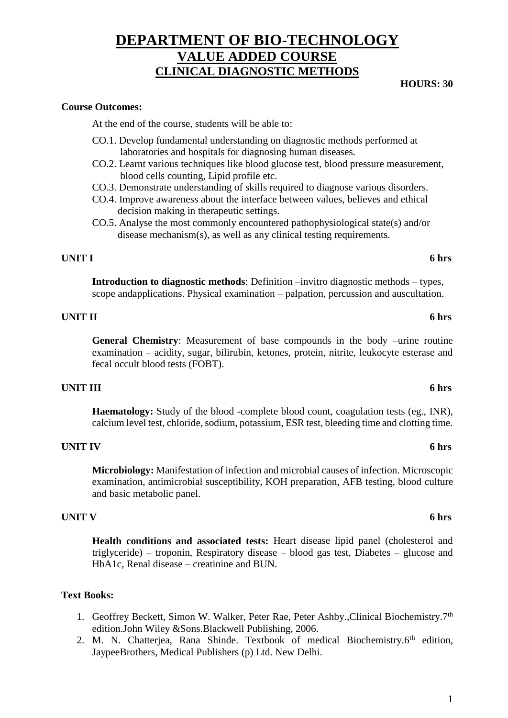# 1

# **DEPARTMENT OF BIO-TECHNOLOGY VALUE ADDED COURSE CLINICAL DIAGNOSTIC METHODS**

# **Course Outcomes:**

At the end of the course, students will be able to:

- CO.1. Develop fundamental understanding on diagnostic methods performed at laboratories and hospitals for diagnosing human diseases.
- CO.2. Learnt various techniques like blood glucose test, blood pressure measurement, blood cells counting, Lipid profile etc.
- CO.3. Demonstrate understanding of skills required to diagnose various disorders.
- CO.4. Improve awareness about the interface between values, believes and ethical decision making in therapeutic settings.
- CO.5. Analyse the most commonly encountered pathophysiological state(s) and/or disease mechanism(s), as well as any clinical testing requirements.

# **UNIT I 6 hrs**

**Introduction to diagnostic methods**: Definition –invitro diagnostic methods – types, scope andapplications. Physical examination – palpation, percussion and auscultation.

# **UNIT II 6 hrs**

**General Chemistry**: Measurement of base compounds in the body –urine routine examination – acidity, sugar, bilirubin, ketones, protein, nitrite, leukocyte esterase and fecal occult blood tests (FOBT).

# **UNIT III 6 hrs**

**Haematology:** Study of the blood -complete blood count, coagulation tests (eg., INR), calcium level test, chloride, sodium, potassium, ESR test, bleeding time and clotting time.

# **UNIT IV 6 hrs**

**Microbiology:** Manifestation of infection and microbial causes of infection. Microscopic examination, antimicrobial susceptibility, KOH preparation, AFB testing, blood culture and basic metabolic panel.

# **UNIT V 6 hrs**

**Health conditions and associated tests:** Heart disease lipid panel (cholesterol and triglyceride) – troponin, Respiratory disease – blood gas test, Diabetes – glucose and HbA1c, Renal disease – creatinine and BUN.

# **Text Books:**

- 1. Geoffrey Beckett, Simon W. Walker, Peter Rae, Peter Ashby., Clinical Biochemistry. 7<sup>th</sup> edition.John Wiley &Sons.Blackwell Publishing, 2006.
- 2. M. N. Chatterjea, Rana Shinde. Textbook of medical Biochemistry.6<sup>th</sup> edition, JaypeeBrothers, Medical Publishers (p) Ltd. New Delhi.

**HOURS: 30**